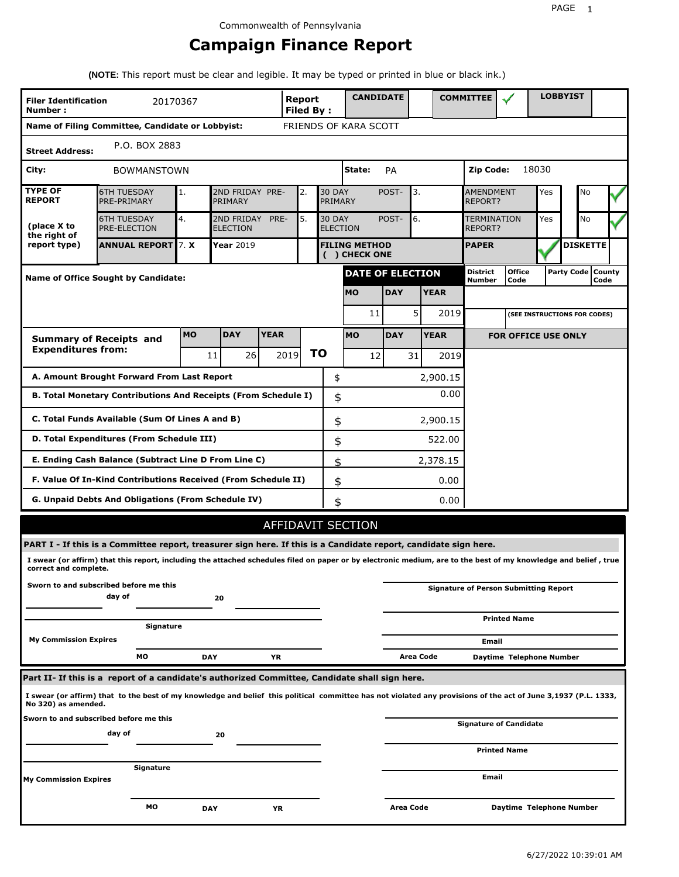# **Campaign Finance Report**

**(NOTE:** This report must be clear and legible. It may be typed or printed in blue or black ink.)

| <b>Filer Identification</b>                   | 20170367                                                                                                                                                        |           |                               |             | Report           |    |                                  | <b>CANDIDATE</b>                      |            |           |             | <b>COMMITTEE</b>                   |                                              |       | <b>LOBBYIST</b>              |      |  |
|-----------------------------------------------|-----------------------------------------------------------------------------------------------------------------------------------------------------------------|-----------|-------------------------------|-------------|------------------|----|----------------------------------|---------------------------------------|------------|-----------|-------------|------------------------------------|----------------------------------------------|-------|------------------------------|------|--|
| Number:                                       | Name of Filing Committee, Candidate or Lobbyist:                                                                                                                |           |                               |             | <b>Filed By:</b> |    |                                  | FRIENDS OF KARA SCOTT                 |            |           |             |                                    |                                              |       |                              |      |  |
|                                               | P.O. BOX 2883                                                                                                                                                   |           |                               |             |                  |    |                                  |                                       |            |           |             |                                    |                                              |       |                              |      |  |
| <b>Street Address:</b>                        |                                                                                                                                                                 |           |                               |             |                  |    |                                  |                                       |            |           |             |                                    |                                              |       |                              |      |  |
| City:                                         | <b>BOWMANSTOWN</b>                                                                                                                                              |           |                               |             |                  |    |                                  | State:                                | PA         |           |             | Zip Code:                          |                                              | 18030 |                              |      |  |
| <b>TYPE OF</b><br><b>REPORT</b>               | <b>6TH TUESDAY</b><br>PRE-PRIMARY                                                                                                                               | 1.        | 2ND FRIDAY PRE-<br>PRIMARY    |             | 2.               |    | <b>30 DAY</b><br>PRIMARY         |                                       | POST-      | 3.        |             | <b>AMENDMENT</b><br><b>REPORT?</b> |                                              | Yes   | No                           |      |  |
| (place X to<br>the right of                   | <b>6TH TUESDAY</b><br><b>PRE-ELECTION</b>                                                                                                                       | 4.        | 2ND FRIDAY<br><b>ELECTION</b> | PRE-        | 5.               |    | <b>30 DAY</b><br><b>ELECTION</b> |                                       | POST-      | 6.        |             | TERMINATION<br>REPORT?             |                                              | Yes   | <b>No</b>                    |      |  |
| report type)                                  | <b>ANNUAL REPORT 7. X</b>                                                                                                                                       |           | <b>Year 2019</b>              |             |                  |    |                                  | <b>FILING METHOD</b><br>( ) CHECK ONE |            |           |             | <b>PAPER</b>                       |                                              |       | <b>DISKETTE</b>              |      |  |
|                                               | <b>Name of Office Sought by Candidate:</b>                                                                                                                      |           |                               |             |                  |    |                                  | <b>DATE OF ELECTION</b>               |            |           |             | District<br>Number                 | <b>Office</b><br>Code                        |       | Party Code   County          | Code |  |
|                                               |                                                                                                                                                                 |           |                               |             |                  |    |                                  | <b>MO</b>                             | <b>DAY</b> |           | <b>YEAR</b> |                                    |                                              |       |                              |      |  |
|                                               |                                                                                                                                                                 |           |                               |             |                  |    |                                  | 11                                    |            | 5         | 2019        |                                    |                                              |       | (SEE INSTRUCTIONS FOR CODES) |      |  |
|                                               | <b>Summary of Receipts and</b>                                                                                                                                  | <b>MO</b> | <b>DAY</b>                    | <b>YEAR</b> |                  |    |                                  | <b>MO</b>                             | <b>DAY</b> |           | <b>YEAR</b> |                                    | <b>FOR OFFICE USE ONLY</b>                   |       |                              |      |  |
| <b>Expenditures from:</b><br>2019<br>11<br>26 |                                                                                                                                                                 |           |                               |             |                  | ΤO |                                  | 12                                    |            | 31        | 2019        |                                    |                                              |       |                              |      |  |
|                                               | A. Amount Brought Forward From Last Report                                                                                                                      |           |                               |             |                  |    | \$                               |                                       |            |           | 2,900.15    |                                    |                                              |       |                              |      |  |
|                                               | B. Total Monetary Contributions And Receipts (From Schedule I)                                                                                                  |           |                               |             |                  |    | \$                               |                                       |            |           | 0.00        |                                    |                                              |       |                              |      |  |
|                                               | C. Total Funds Available (Sum Of Lines A and B)                                                                                                                 |           |                               |             |                  |    | \$                               |                                       |            |           | 2,900.15    |                                    |                                              |       |                              |      |  |
|                                               | D. Total Expenditures (From Schedule III)                                                                                                                       |           |                               |             |                  |    | \$                               |                                       |            |           | 522.00      |                                    |                                              |       |                              |      |  |
|                                               | E. Ending Cash Balance (Subtract Line D From Line C)                                                                                                            |           |                               |             |                  |    | \$                               |                                       |            |           | 2,378.15    |                                    |                                              |       |                              |      |  |
|                                               | F. Value Of In-Kind Contributions Received (From Schedule II)                                                                                                   |           |                               |             |                  |    | \$                               |                                       |            |           | 0.00        |                                    |                                              |       |                              |      |  |
|                                               | <b>G. Unpaid Debts And Obligations (From Schedule IV)</b>                                                                                                       |           |                               |             |                  |    | \$                               |                                       |            |           | 0.00        |                                    |                                              |       |                              |      |  |
|                                               |                                                                                                                                                                 |           |                               |             |                  |    |                                  | AFFIDAVIT SECTION                     |            |           |             |                                    |                                              |       |                              |      |  |
|                                               | PART I - If this is a Committee report, treasurer sign here. If this is a Candidate report, candidate sign here.                                                |           |                               |             |                  |    |                                  |                                       |            |           |             |                                    |                                              |       |                              |      |  |
| correct and complete.                         | I swear (or affirm) that this report, including the attached schedules filed on paper or by electronic medium, are to the best of my knowledge and belief, true |           |                               |             |                  |    |                                  |                                       |            |           |             |                                    |                                              |       |                              |      |  |
|                                               | Sworn to and subscribed before me this<br>day of                                                                                                                |           | 20                            |             |                  |    |                                  |                                       |            |           |             |                                    | <b>Signature of Person Submitting Report</b> |       |                              |      |  |
|                                               | Signature                                                                                                                                                       |           |                               |             |                  |    |                                  |                                       |            |           |             |                                    | <b>Printed Name</b>                          |       |                              |      |  |
| <b>My Commission Expires</b>                  |                                                                                                                                                                 |           |                               |             |                  |    |                                  |                                       |            |           |             | Email                              |                                              |       |                              |      |  |
|                                               | МO                                                                                                                                                              |           | <b>DAY</b>                    | ΥR          |                  |    |                                  |                                       |            | Area Code |             |                                    | Daytime Telephone Number                     |       |                              |      |  |
|                                               | Part II- If this is a report of a candidate's authorized Committee, Candidate shall sign here.                                                                  |           |                               |             |                  |    |                                  |                                       |            |           |             |                                    |                                              |       |                              |      |  |
| No 320) as amended.                           | I swear (or affirm) that to the best of my knowledge and belief this political committee has not violated any provisions of the act of June 3,1937 (P.L. 1333,  |           |                               |             |                  |    |                                  |                                       |            |           |             |                                    |                                              |       |                              |      |  |
| Sworn to and subscribed before me this        |                                                                                                                                                                 |           |                               |             |                  |    |                                  |                                       |            |           |             |                                    | <b>Signature of Candidate</b>                |       |                              |      |  |
| day of<br>20                                  |                                                                                                                                                                 |           |                               |             |                  |    |                                  |                                       |            |           |             |                                    | <b>Printed Name</b>                          |       |                              |      |  |
|                                               | Signature                                                                                                                                                       |           |                               |             |                  |    |                                  |                                       |            |           |             |                                    |                                              |       |                              |      |  |
| <b>My Commission Expires</b>                  |                                                                                                                                                                 |           |                               |             |                  |    |                                  |                                       |            |           |             | Email                              |                                              |       |                              |      |  |
|                                               | мо                                                                                                                                                              |           | <b>DAY</b>                    | ΥR          |                  |    |                                  |                                       | Area Code  |           |             |                                    | Daytime Telephone Number                     |       |                              |      |  |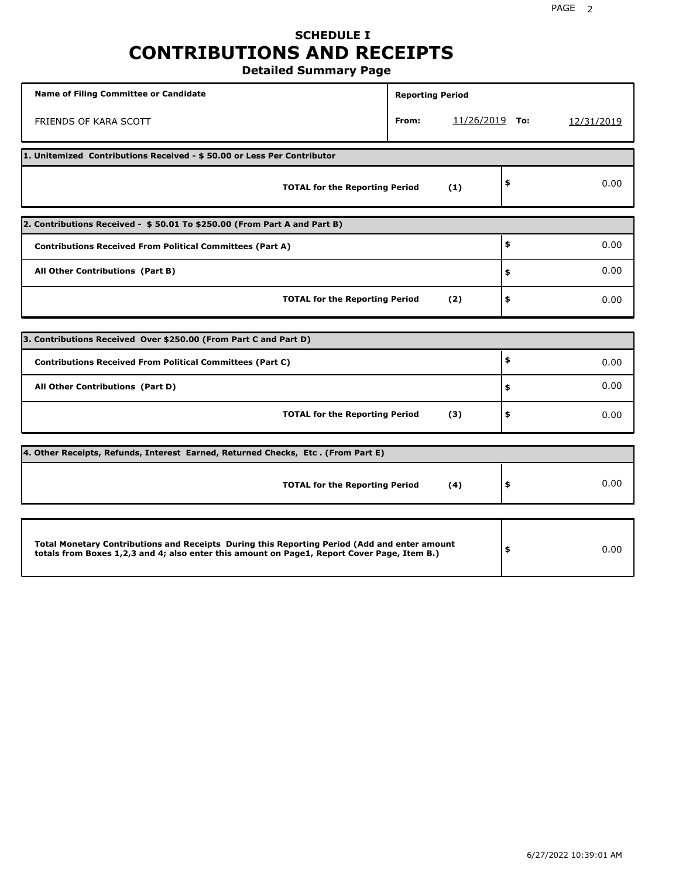## **SCHEDULE I CONTRIBUTIONS AND RECEIPTS Detailed Summary Page**

**Name of Filing Committee or Candidate Reporting Period Reporting Period** FRIENDS OF KARA SCOTT **From:** 11/26/2019 **To:** 12/31/2019 **1. Unitemized Contributions Received - \$ 50.00 or Less Per Contributor TOTAL for the Reporting Period (1) \$** 0.00 **2. Contributions Received - \$ 50.01 To \$250.00 (From Part A and Part B) TOTAL for the Reporting Period (2) Contributions Received From Political Committees (Part A) All Other Contributions (Part B) \$ \$ \$** 0.00 0.00 0.00 **3. Contributions Received Over \$250.00 (From Part C and Part D) TOTAL for the Reporting Period (3) Contributions Received From Political Committees (Part C) All Other Contributions (Part D) \$ \$ \$** 0.00 0.00 0.00 **4. Other Receipts, Refunds, Interest Earned, Returned Checks, Etc . (From Part E) TOTAL for the Reporting Period (4) \$** 0.00 **Total Monetary Contributions and Receipts During this Reporting Period (Add and enter amount totals from Boxes 1,2,3 and 4; also enter this amount on Page1, Report Cover Page, Item B.) \$** 0.00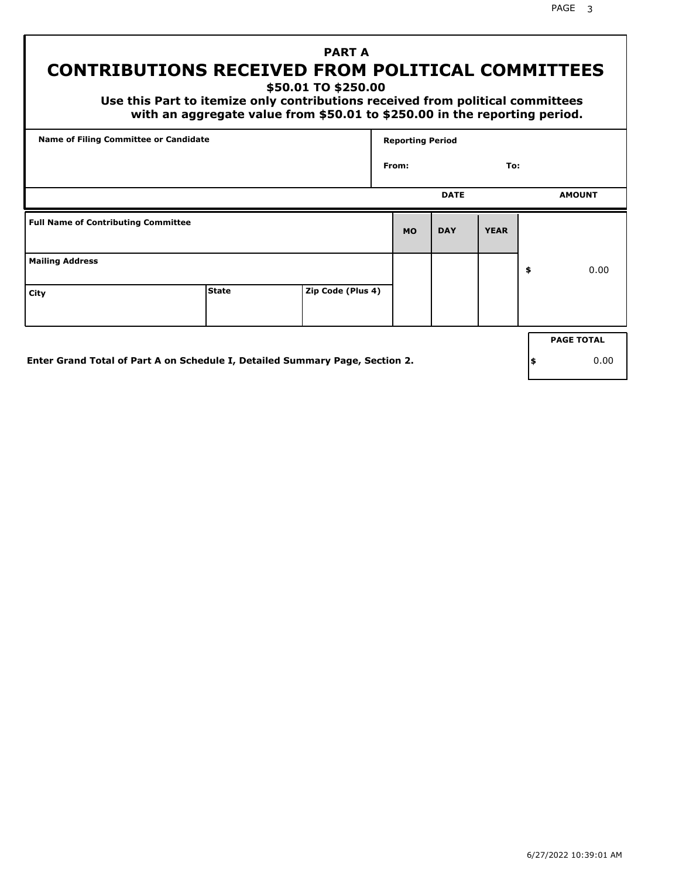PAGE 3

# **PART A CONTRIBUTIONS RECEIVED FROM POLITICAL COMMITTEES**

**\$50.01 TO \$250.00**

 **Use this Part to itemize only contributions received from political committees with an aggregate value from \$50.01 to \$250.00 in the reporting period.**

| Name of Filing Committee or Candidate      |              |                   | <b>Reporting Period</b> |             |             |    |                   |  |  |
|--------------------------------------------|--------------|-------------------|-------------------------|-------------|-------------|----|-------------------|--|--|
|                                            |              |                   | From:                   |             | To:         |    |                   |  |  |
|                                            |              |                   |                         | <b>DATE</b> |             |    | <b>AMOUNT</b>     |  |  |
| <b>Full Name of Contributing Committee</b> |              |                   | <b>MO</b>               | <b>DAY</b>  | <b>YEAR</b> |    |                   |  |  |
| <b>Mailing Address</b>                     |              |                   |                         |             |             | \$ | 0.00              |  |  |
| City                                       | <b>State</b> | Zip Code (Plus 4) |                         |             |             |    |                   |  |  |
|                                            |              |                   |                         |             |             |    | <b>PAGE TOTAL</b> |  |  |
|                                            |              |                   |                         |             |             |    |                   |  |  |

**Enter Grand Total of Part A on Schedule I, Detailed Summary Page, Section 2.**

**\$** 0.00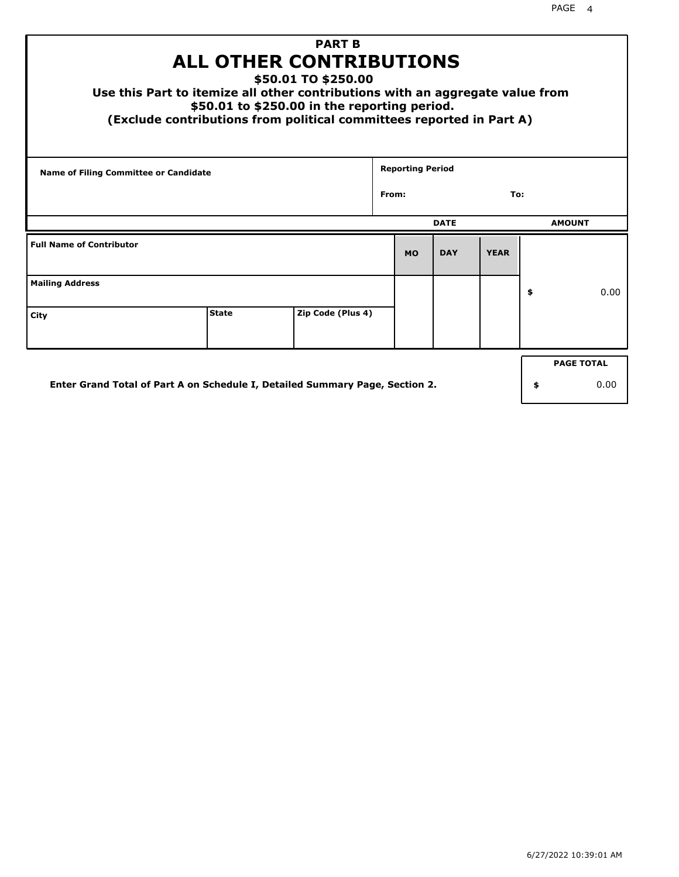| <b>PART B</b><br><b>ALL OTHER CONTRIBUTIONS</b><br>\$50.01 TO \$250.00<br>Use this Part to itemize all other contributions with an aggregate value from<br>\$50.01 to \$250.00 in the reporting period.<br>(Exclude contributions from political committees reported in Part A) |              |                   |  |                         |             |             |    |               |  |
|---------------------------------------------------------------------------------------------------------------------------------------------------------------------------------------------------------------------------------------------------------------------------------|--------------|-------------------|--|-------------------------|-------------|-------------|----|---------------|--|
| Name of Filing Committee or Candidate                                                                                                                                                                                                                                           |              |                   |  | <b>Reporting Period</b> |             |             |    |               |  |
| From:<br>To:                                                                                                                                                                                                                                                                    |              |                   |  |                         |             |             |    |               |  |
|                                                                                                                                                                                                                                                                                 |              |                   |  |                         | <b>DATE</b> |             |    | <b>AMOUNT</b> |  |
| <b>Full Name of Contributor</b>                                                                                                                                                                                                                                                 |              |                   |  | <b>MO</b>               | <b>DAY</b>  | <b>YEAR</b> |    |               |  |
| <b>Mailing Address</b>                                                                                                                                                                                                                                                          |              |                   |  |                         |             |             | \$ | 0.00          |  |
| City                                                                                                                                                                                                                                                                            | <b>State</b> | Zip Code (Plus 4) |  |                         |             |             |    |               |  |
| <b>PAGE TOTAL</b>                                                                                                                                                                                                                                                               |              |                   |  |                         |             |             |    |               |  |
| Enter Grand Total of Part A on Schedule I, Detailed Summary Page, Section 2.<br>0.00<br>\$                                                                                                                                                                                      |              |                   |  |                         |             |             |    |               |  |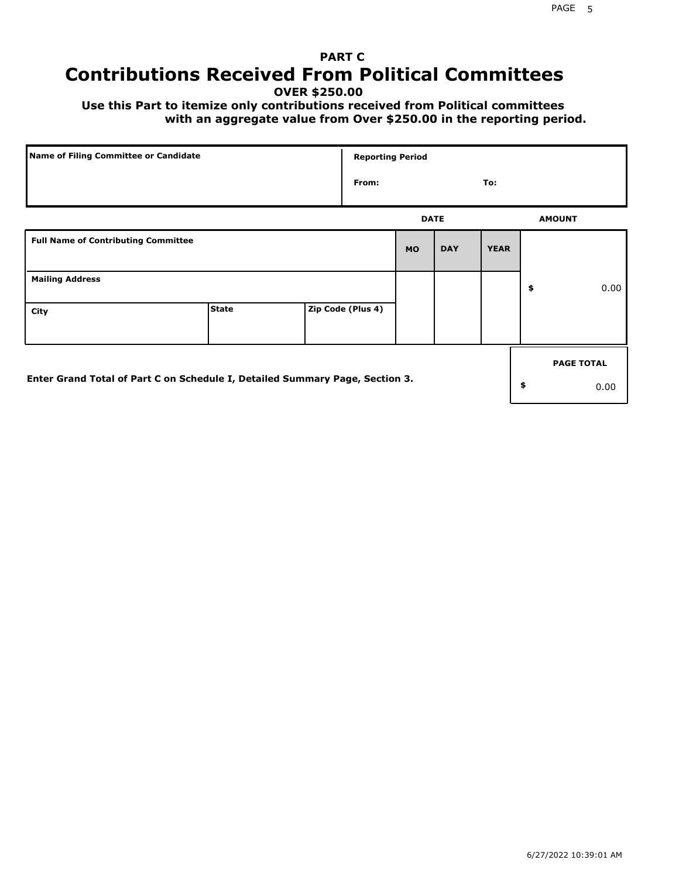# **PART C Contributions Received From Political Committees**

**OVER \$250.00**

 **Use this Part to itemize only contributions received from Political committees with an aggregate value from Over \$250.00 in the reporting period.**

| Name of Filing Committee or Candidate                                        |              | <b>Reporting Period</b> |             |            |             |    |                   |  |
|------------------------------------------------------------------------------|--------------|-------------------------|-------------|------------|-------------|----|-------------------|--|
|                                                                              |              | From:                   |             |            | To:         |    |                   |  |
|                                                                              |              |                         | <b>DATE</b> |            |             |    | <b>AMOUNT</b>     |  |
| <b>Full Name of Contributing Committee</b>                                   |              |                         | <b>MO</b>   | <b>DAY</b> | <b>YEAR</b> |    |                   |  |
| <b>Mailing Address</b>                                                       |              |                         |             |            |             | \$ | 0.00              |  |
| City                                                                         | <b>State</b> | Zip Code (Plus 4)       |             |            |             |    |                   |  |
|                                                                              |              |                         |             |            |             |    | <b>PAGE TOTAL</b> |  |
| Enter Grand Total of Part C on Schedule I, Detailed Summary Page, Section 3. |              |                         |             |            |             | \$ | 0.00              |  |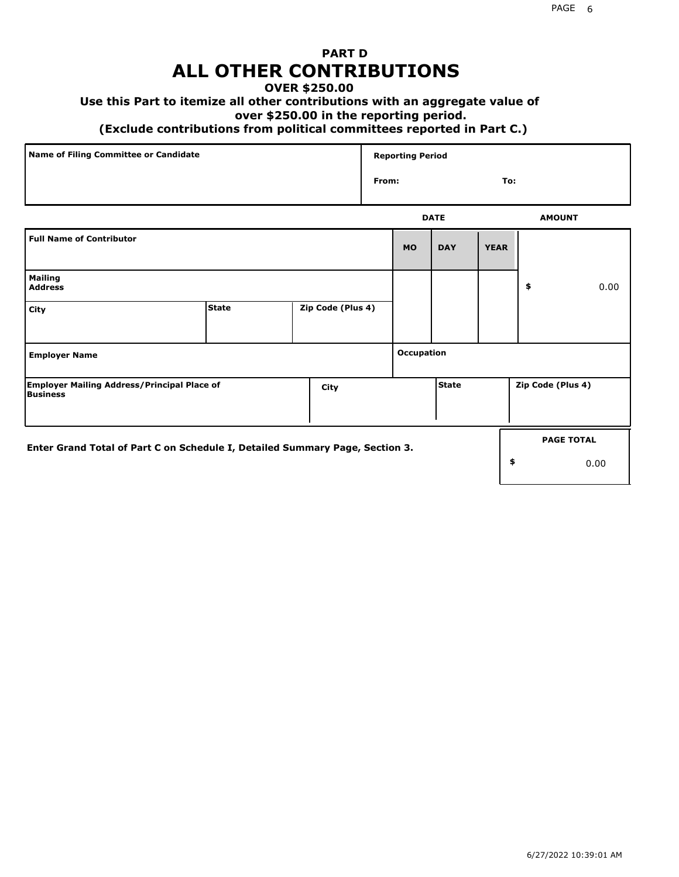# **PART D ALL OTHER CONTRIBUTIONS**

#### **OVER \$250.00**

### **Use this Part to itemize all other contributions with an aggregate value of**

#### **over \$250.00 in the reporting period.**

#### **(Exclude contributions from political committees reported in Part C.)**

| Name of Filing Committee or Candidate | <b>Reporting Period</b> |     |
|---------------------------------------|-------------------------|-----|
|                                       | From:                   | To: |
|                                       |                         |     |

|                                                                              |              |                   |                   | <b>DATE</b>  |             | <b>AMOUNT</b>     |
|------------------------------------------------------------------------------|--------------|-------------------|-------------------|--------------|-------------|-------------------|
| <b>Full Name of Contributor</b>                                              |              |                   | <b>MO</b>         | <b>DAY</b>   | <b>YEAR</b> |                   |
| <b>Mailing</b><br><b>Address</b>                                             |              |                   |                   |              |             | \$<br>0.00        |
| City                                                                         | <b>State</b> | Zip Code (Plus 4) |                   |              |             |                   |
| <b>Employer Name</b>                                                         |              |                   | <b>Occupation</b> |              |             |                   |
| <b>Employer Mailing Address/Principal Place of</b><br>Business               |              | City              |                   | <b>State</b> |             | Zip Code (Plus 4) |
| Enter Grand Total of Part C on Schedule I, Detailed Summary Page, Section 3. |              |                   |                   |              |             | <b>PAGE TOTAL</b> |
|                                                                              |              |                   |                   |              |             | \$<br>0.00        |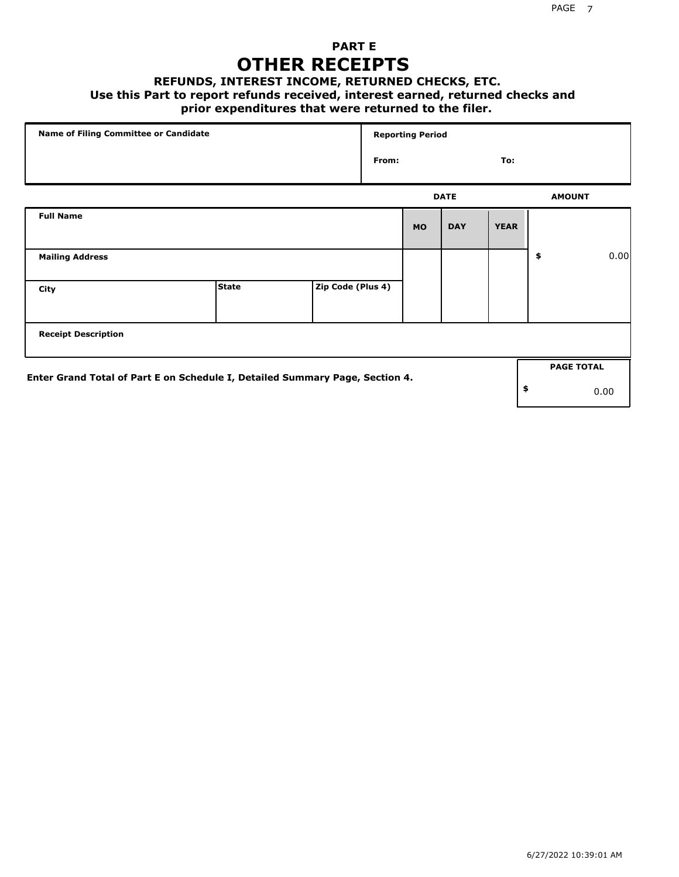## **PART E OTHER RECEIPTS**

#### **REFUNDS, INTEREST INCOME, RETURNED CHECKS, ETC.**

 **Use this Part to report refunds received, interest earned, returned checks and**

### **prior expenditures that were returned to the filer.**

| Name of Filing Committee or Candidate                                        |              |                   |       | <b>Reporting Period</b> |             |             |                   |      |
|------------------------------------------------------------------------------|--------------|-------------------|-------|-------------------------|-------------|-------------|-------------------|------|
|                                                                              |              |                   | From: |                         |             | To:         |                   |      |
|                                                                              |              |                   |       |                         | <b>DATE</b> |             | <b>AMOUNT</b>     |      |
| <b>Full Name</b>                                                             |              |                   |       | <b>MO</b>               | <b>DAY</b>  | <b>YEAR</b> |                   |      |
| <b>Mailing Address</b>                                                       |              |                   |       |                         |             |             | \$                | 0.00 |
| City                                                                         | <b>State</b> | Zip Code (Plus 4) |       |                         |             |             |                   |      |
| <b>Receipt Description</b>                                                   |              |                   |       |                         |             |             |                   |      |
|                                                                              |              |                   |       |                         |             |             | <b>PAGE TOTAL</b> |      |
| Enter Grand Total of Part E on Schedule I, Detailed Summary Page, Section 4. |              |                   |       |                         |             |             | \$                | 0.00 |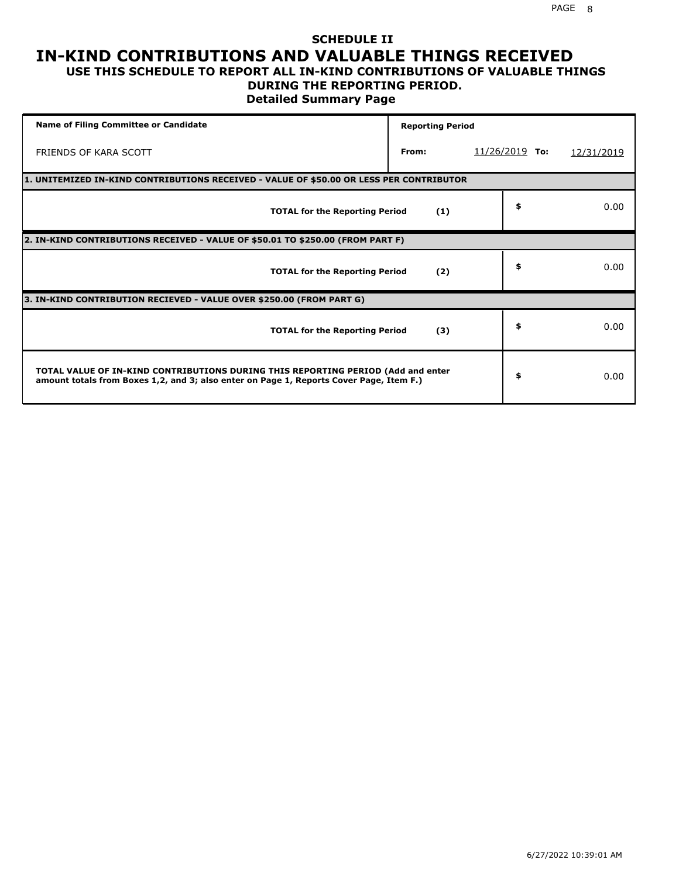#### **SCHEDULE II IN-KIND CONTRIBUTIONS AND VALUABLE THINGS RECEIVED USE THIS SCHEDULE TO REPORT ALL IN-KIND CONTRIBUTIONS OF VALUABLE THINGS**

## **DURING THE REPORTING PERIOD.**

**Detailed Summary Page**

| <b>Name of Filing Committee or Candidate</b>                                                                                                                                | <b>Reporting Period</b> |                  |            |
|-----------------------------------------------------------------------------------------------------------------------------------------------------------------------------|-------------------------|------------------|------------|
| FRIENDS OF KARA SCOTT                                                                                                                                                       | From:                   | $11/26/2019$ To: | 12/31/2019 |
| 1. UNITEMIZED IN-KIND CONTRIBUTIONS RECEIVED - VALUE OF \$50.00 OR LESS PER CONTRIBUTOR                                                                                     |                         |                  |            |
| <b>TOTAL for the Reporting Period</b>                                                                                                                                       | (1)                     | \$               | 0.00       |
| 2. IN-KIND CONTRIBUTIONS RECEIVED - VALUE OF \$50.01 TO \$250.00 (FROM PART F)                                                                                              |                         |                  |            |
| <b>TOTAL for the Reporting Period</b>                                                                                                                                       | (2)                     | \$               | 0.00       |
| 3. IN-KIND CONTRIBUTION RECIEVED - VALUE OVER \$250.00 (FROM PART G)                                                                                                        |                         |                  |            |
| <b>TOTAL for the Reporting Period</b>                                                                                                                                       | (3)                     | \$               | 0.00       |
| TOTAL VALUE OF IN-KIND CONTRIBUTIONS DURING THIS REPORTING PERIOD (Add and enter<br>amount totals from Boxes 1,2, and 3; also enter on Page 1, Reports Cover Page, Item F.) |                         | \$               | 0.00       |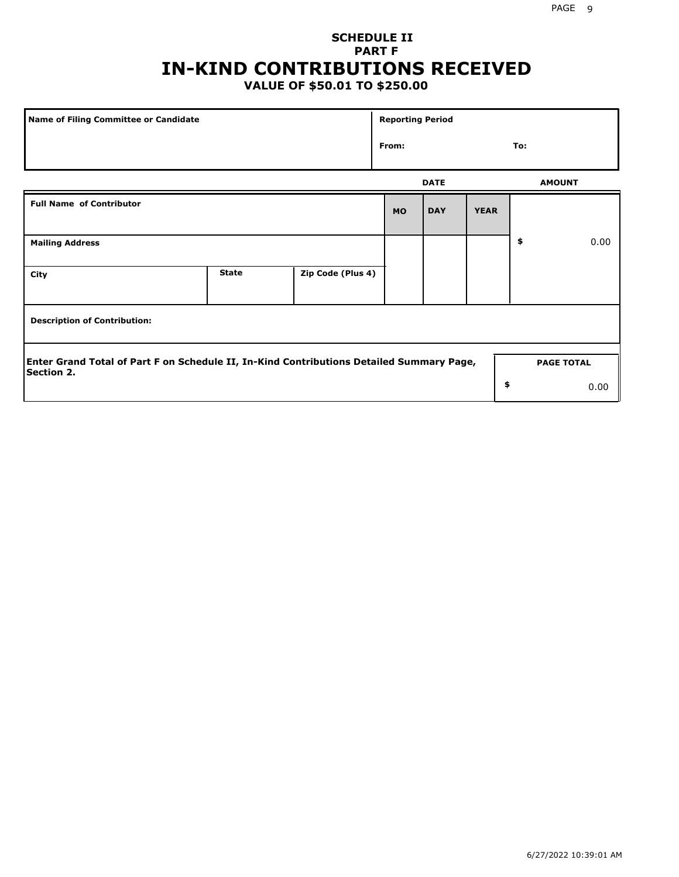# **SCHEDULE II PART F IN-KIND CONTRIBUTIONS RECEIVED**

## **VALUE OF \$50.01 TO \$250.00**

| Name of Filing Committee or Candidate                                                                         |              |                   | <b>Reporting Period</b> |             |             |               |                   |
|---------------------------------------------------------------------------------------------------------------|--------------|-------------------|-------------------------|-------------|-------------|---------------|-------------------|
|                                                                                                               |              |                   | From:                   |             |             | To:           |                   |
|                                                                                                               |              |                   |                         | <b>DATE</b> |             | <b>AMOUNT</b> |                   |
| <b>Full Name of Contributor</b>                                                                               |              |                   | <b>MO</b>               | <b>DAY</b>  | <b>YEAR</b> |               |                   |
| <b>Mailing Address</b>                                                                                        |              |                   |                         |             |             | \$            | 0.00              |
| City                                                                                                          | <b>State</b> | Zip Code (Plus 4) |                         |             |             |               |                   |
| <b>Description of Contribution:</b>                                                                           |              |                   |                         |             |             |               |                   |
| Enter Grand Total of Part F on Schedule II, In-Kind Contributions Detailed Summary Page,<br><b>Section 2.</b> |              |                   |                         |             |             |               | <b>PAGE TOTAL</b> |
|                                                                                                               |              |                   |                         |             | \$          |               | 0.00              |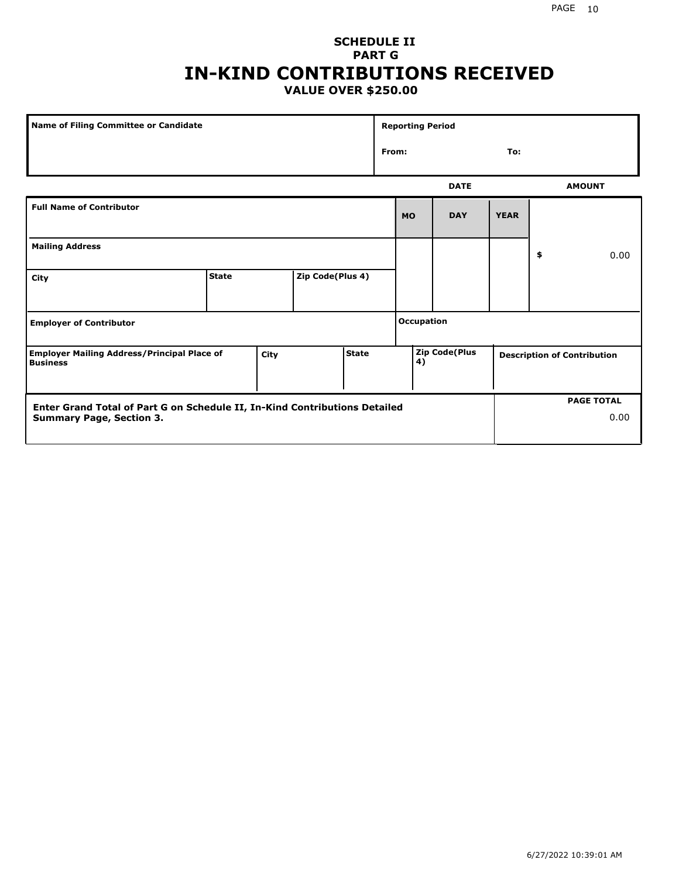### **SCHEDULE II PART G IN-KIND CONTRIBUTIONS RECEIVED VALUE OVER \$250.00**

| Name of Filing Committee or Candidate                                                         |              |  |                  |  |              | <b>Reporting Period</b> |             |  |                                    |               |
|-----------------------------------------------------------------------------------------------|--------------|--|------------------|--|--------------|-------------------------|-------------|--|------------------------------------|---------------|
|                                                                                               |              |  |                  |  | From:<br>To: |                         |             |  |                                    |               |
|                                                                                               |              |  |                  |  | <b>DATE</b>  |                         |             |  |                                    | <b>AMOUNT</b> |
| <b>Full Name of Contributor</b>                                                               |              |  |                  |  | <b>MO</b>    | <b>DAY</b>              | <b>YEAR</b> |  |                                    |               |
| <b>Mailing Address</b>                                                                        |              |  |                  |  |              |                         |             |  | \$                                 | 0.00          |
| City                                                                                          | <b>State</b> |  | Zip Code(Plus 4) |  |              |                         |             |  |                                    |               |
| <b>Employer of Contributor</b>                                                                |              |  |                  |  |              | <b>Occupation</b>       |             |  |                                    |               |
| <b>State</b><br><b>Employer Mailing Address/Principal Place of</b><br>City<br><b>Business</b> |              |  |                  |  | 4)           | Zip Code(Plus           |             |  | <b>Description of Contribution</b> |               |

| <b>Enter Grand Total of Part G on Schedule II, In-Kind Contributions Detailed</b> |  | <b>PAGE TOTAL</b> |
|-----------------------------------------------------------------------------------|--|-------------------|
| <b>Summary Page, Section 3.</b>                                                   |  | 0.00              |
|                                                                                   |  |                   |